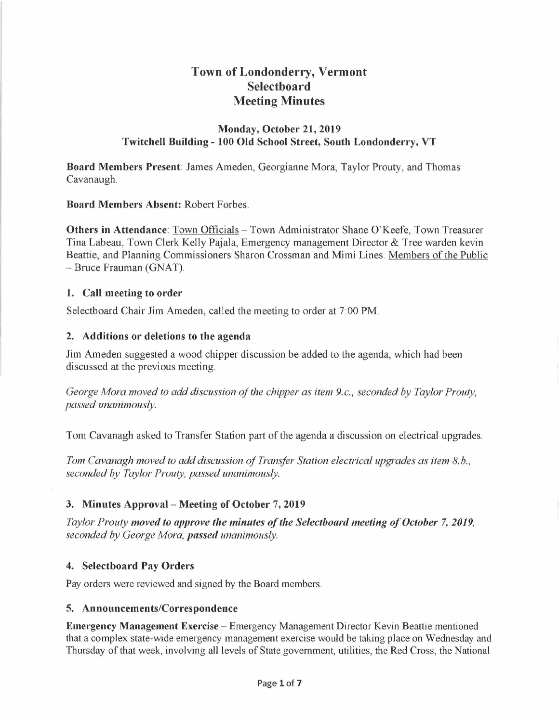# **Town of Londonderry, Vermont Selectboard Meeting Minutes**

#### **lVlonday, October 21, 2019 Twitchell Building- 100 Old School Street, South Londonderry, VT**

**Board Members Present:** James Ameden, Georgianne Mora, Taylor Prouty, and Thomas Cavanaugh.

#### **Board Members Absent:** Robert Forbes.

**Others in Attendance:** Town Officials – Town Administrator Shane O'Keefe, Town Treasurer Tina Labeau, Town Clerk Kelly Pajala, Emergency management Director & Tree warden kevin Beattie, and Planning Commissioners Sharon Crossman and Mimi Lines. Members of the Public -Bruce Frauman (GNAT).

#### **1. Call meeting to order**

Selectboard Chair Jim Ameden, called the meeting to order at 7:00 PM.

#### **2. Additions or deletions to the agenda**

Jim Ameden suggested a wood chipper discussion be added to the agenda, which had been discussed at the previous meeting.

*George Mora moved to add discussion of the chipper as item 9.c., seconded by Taylor Prouty, passed unanimously.* 

Tom Cavanagh asked to Transfer Station part of the agenda a discussion on electrical upgrades.

*Tom Cavanagh moved to add discussion of Transfer Station electrical upgrades as item 8.b., seconded by Taylor Prouty, passed unanimously.* 

### **3. Minutes Approval - Meeting of October 7, 2019**

*Taylor Prouty moved to approve the minutes of the Selectboard meeting of October* **7,** *2019, seconded by George Mora, passed unanimously.* 

### **4. Selectboard Pay Orders**

Pay orders were reviewed and signed by the Board members.

#### **5. Announcements/Correspondence**

**Emergency Management Exercise** - Emergency Management Director Kevin Beattie mentioned that a complex state-wide emergency management exercise would be taking place on Wednesday and Thursday of that week, involving all levels of State government, utilities, the Red Cross, the National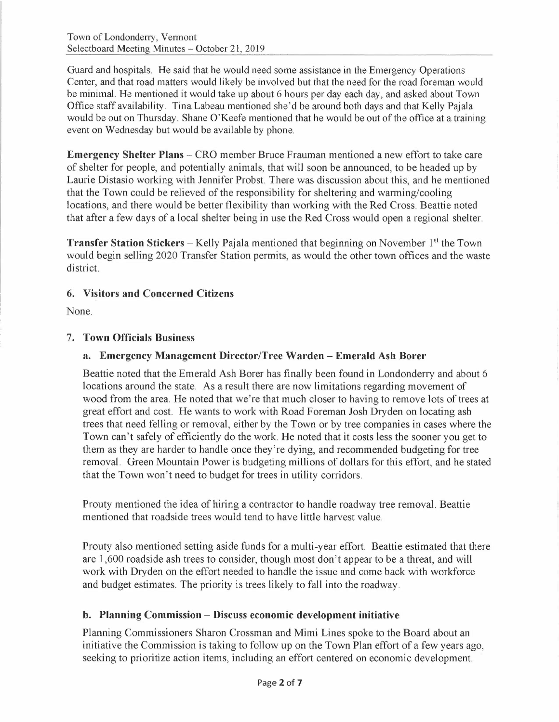Guard and hospitals. He said that he would need some assistance in the Emergency Operations Center, and that road matters would likely be involved but that the need for the road foreman would be minimal. He mentioned it would take up about 6 hours per day each day, and asked about Town Office staff availability. Tina Labeau mentioned she'd be around both days and that Kelly Pajala would be out on Thursday. Shane O'Keefe mentioned that he would be out of the office at a training event on Wednesday but would be available by phone.

**Emergency Shelter Plans -** CRO member Bruce Frauman mentioned a new effort to take care of shelter for people, and potentially animals, that will soon be announced, to be headed up by Laurie Distasio working with Jennifer Probst. There was discussion about this, and he mentioned that the Town could be relieved of the responsibility for sheltering and warming/cooling locations, and there would be better flexibility than working with the Red Cross. Beattie noted that after a few days of a local shelter being in use the Red Cross would open a regional shelter.

**Transfer Station Stickers** - Kelly Pajala mentioned that beginning on November 1<sup>st</sup> the Town would begin selling 2020 Transfer Station permits, as would the other town offices and the waste district.

### **6. Visitors and Concerned Citizens**

None.

#### 7. **Town Officials Business**

### **a. Emergency Management Director/Tree Warden - Emerald Ash Borer**

Beattie noted that the Emerald Ash Borer has finally been found in Londonderry and about 6 locations around the state. As a result there are now limitations regarding movement of wood from the area. He noted that we're that much closer to having to remove lots of trees at great effort and cost. He wants to work with Road Foreman Josh Dryden on locating ash trees that need felling or removal, either by the Town or by tree companies in cases where the Town can't safely of efficiently do the work. He noted that it costs less the sooner you get to them as they are harder to handle once they're dying, and recommended budgeting for tree removal. Green Mountain Power is budgeting millions of dollars for this effort, and he stated that the Town won't need to budget for trees in utility corridors.

Prouty mentioned the idea of hiring a contractor to handle roadway tree removal. Beattie mentioned that roadside trees would tend to have little harvest value.

Prouty also mentioned setting aside funds for a multi-year effort. Beattie estimated that there are 1,600 roadside ash trees to consider, though most don't appear to be a threat, and will work with Dryden on the effort needed to handle the issue and come back with workforce and budget estimates. The priority is trees likely to fall into the roadway.

### **b. Planning Commission - Discuss economic development initiative**

Planning Commissioners Sharon Crossman and Mimi Lines spoke to the Board about an initiative the Commission is taking to follow up on the Town Plan effort of a few years ago, seeking to prioritize action items, including an effort centered on economic development.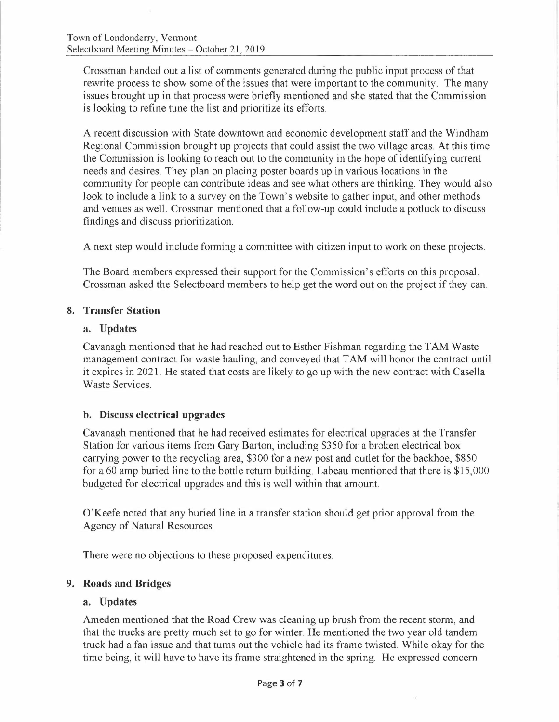Crossman handed out a list of comments generated during the public input process of that rewrite process to show some of the issues that were important to the community. The many issues brought up in that process were briefly mentioned and she stated that the Commission is looking to refine tune the list and prioritize its efforts.

A recent discussion with State downtown and economic development staff and the Windham Regional Commission brought up projects that could assist the two village areas. At this time the Commission is looking to reach out to the community in the hope of identifying current needs and desires. They plan on placing poster boards up in various locations in the community for people can contribute ideas and see what others are thinking. They would also look to include a link to a survey on the Town's website to gather input, and other methods and venues as well. Crossman mentioned that a follow-up could include a potluck to discuss findings and discuss prioritization.

A next step would include forming a committee with citizen input to work on these projects.

The Board members expressed their support for the Commission's efforts on this proposal. Crossman asked the Selectboard members to help get the word out on the project if they can.

#### **8. Transfer Station**

#### **a. Updates**

Cavanagh mentioned that he had reached out to Esther Fishman regarding the TAM Waste management contract for waste hauling, and conveyed that TAM will honor the contract until it expires in 2021. He stated that costs are likely to go up with the new contract with Casella Waste Services.

#### **b. Discuss electrical upgrades**

Cavanagh mentioned that he had received estimates for electrical upgrades at the Transfer Station for various items from Gary Barton, including \$350 for a broken electrical box carrying power to the recycling area, \$300 for a new post and outlet for the backhoe, \$850 for a 60 amp buried line to the bottle return building. Labeau mentioned that there is \$15,000 budgeted for electrical upgrades and this is well within that amount.

O'Keefe noted that any buried line in a transfer station should get prior approval from the Agency of Natural Resources.

There were no objections to these proposed expenditures.

#### **9. Roads and Bridges**

#### **a. Updates**

Ameden mentioned that the Road Crew was cleaning up brush from the recent storm, and that the trucks are pretty much set to go for winter. He mentioned the two year old tandem truck had a fan issue and that turns out the vehicle had its frame twisted. While okay for the time being, it will have to have its frame straightened in the spring. He expressed concern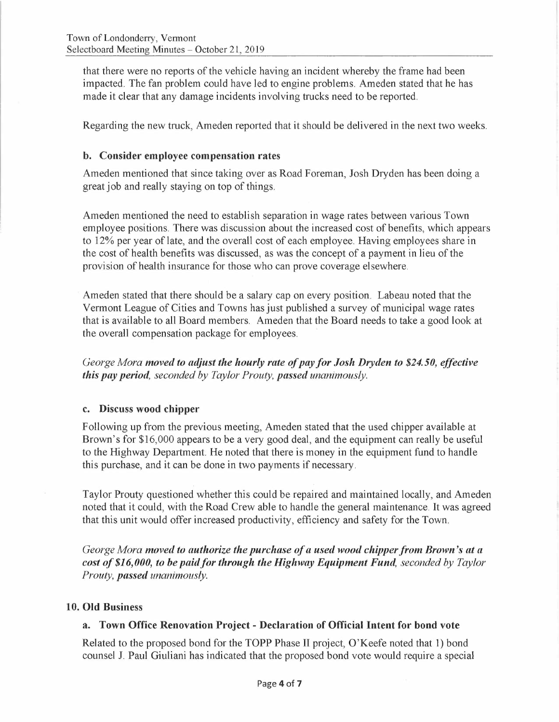that there were no reports of the vehicle having an incident whereby the frame had been impacted. The fan problem could have led to engine problems. Ameden stated that he has made it clear that any damage incidents involving trucks need to be reported.

Regarding the new truck, Ameden reported that it should be delivered in the next two weeks.

#### **b. Consider employee compensation rates**

Ameden mentioned that since taking over as Road Foreman, Josh Dryden has been doing a great job and really staying on top of things.

Ameden mentioned the need to establish separation in wage rates between various Town employee positions. There was discussion about the increased cost of benefits, which appears to 12% per year of late, and the overall cost of each employee. Having employees share in the cost of health benefits was discussed, as was the concept of a payment in lieu of the provision of health insurance for those who can prove coverage elsewhere.

Ameden stated that there should be a salary cap on every position. Labeau noted that the Vermont League of Cities and Towns has just published a survey of municipal wage rates that is available to all Board members. Ameden that the Board needs to take a good look at the overall compensation package for employees.

*George Mora moved to adjus: the hourly rate of pay for Josh Dryden to \$24.50, effective this pay period, seconded by Taylor Prouty, passed unanimously.* 

#### **c. Discuss wood chipper**

Following up from the previous meeting, Ameden stated that the used chipper available at Brown's for \$16,000 appears to be a very good deal, and the equipment can really be useful to the Highway Department. He noted that there is money in the equipment fund to handle this purchase, and it can be done in two payments if necessary.

Taylor Prouty questioned whether this could be repaired and maintained locally, and Ameden noted that it could, with the Road Crew able to handle the general maintenance. It was agreed that this unit would offer increased productivity, efficiency and safety for the Town.

*George Mora moved to authorize the purchase of a used wood chipper from Brown's at a cost of \$16,000, to be paid for through the Highway Equipment Fund, seconded by Taylor Prouty, passed unanimously.* 

#### **10. Old Business**

### **a. Town Office Renovation Project - Declaration of Official Intent for bond vote**

Related to the proposed bond for the TOPP Phase II project, O'Keefe noted that 1) bond counsel J. Paul Giuliani has indicated that the proposed bond vote would require a special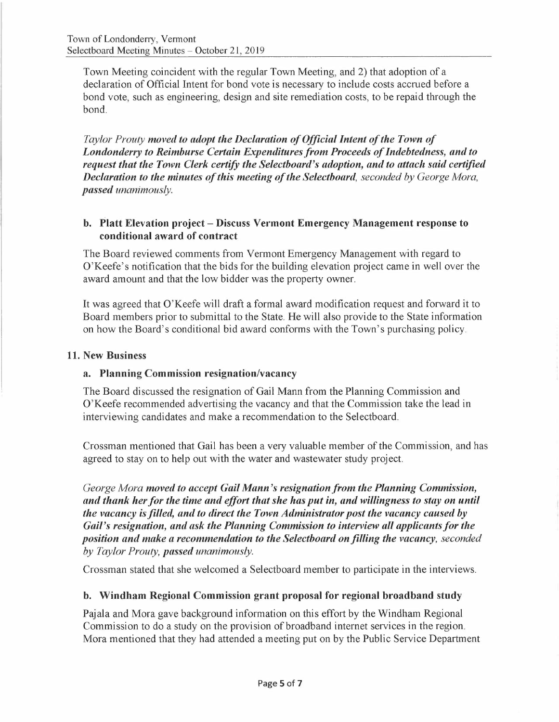Town Meeting coincident with the regular Town Meeting, and 2) that adoption of a declaration of Official Intent for bond vote is necessary to include costs accrued before a bond vote, such as engineering, design and site remediation costs, to be repaid through the bond.

*Taylor Prouty moved to adopt the Declaration of Official Intent of the Town of Londonderry to Reimburse Certain Expenditures from Proceeds of Indebtedness, and to request that the Town Clerk certify the Selectboard's adoption, and to attach said certified Declaration to the minutes of this meeting of the Selectboard, seconded by George Mora, passed unanimously.* 

### **b. Platt Elevation project - Discuss Vermont Emergency Management response to conditional award of contract**

The Board reviewed comments from Vermont Emergency Management with regard to O'Keefe's notification that the bids for the building elevation project came in well over the award amount and that the low bidder was the property owner.

It was agreed that O'Keefe will draft a formal award modification request and forward it to Board members prior to submittal to the State. He will also provide to the State information on how the Board's conditional bid award conforms with the Town's purchasing policy.

### **11. New Business**

### **a. Planning Commission resignation/vacancy**

The Board discussed the resignation of Gail Mann from the Planning Commission and O'Keefe recommended advertising the vacancy and that the Commission take the lead in interviewing candidates and make a recommendation to the Selectboard.

Crossman mentioned that Gail has been a very valuable member of the Commission, and has agreed to stay on to help out with the water and wastewater study project.

*George Mora moved to accept Gail Mann's resignation from the Planning Commission, and thank her for the time and effort that she has put in, and willingness to stay on until the vacancy is filled, and to direct the Town Administrator post the vacancy caused by Gail's resignation, and ask the Planning Commission to interview all applicants for the position and make a recommendation to the Selectboard on filling the vacancy, seconded by Taylor Prouty, passed unanimously.* 

Crossman stated that she welcomed a Selectboard member to participate in the interviews.

### **b. Windham Regional Commission grant proposal for regional broadband study**

Pajala and Mora gave background information on this effort by the Windham Regional Commission to do a study on the provision of broadband internet services in the region. Mora mentioned that they had attended a meeting put on by the Public Service Department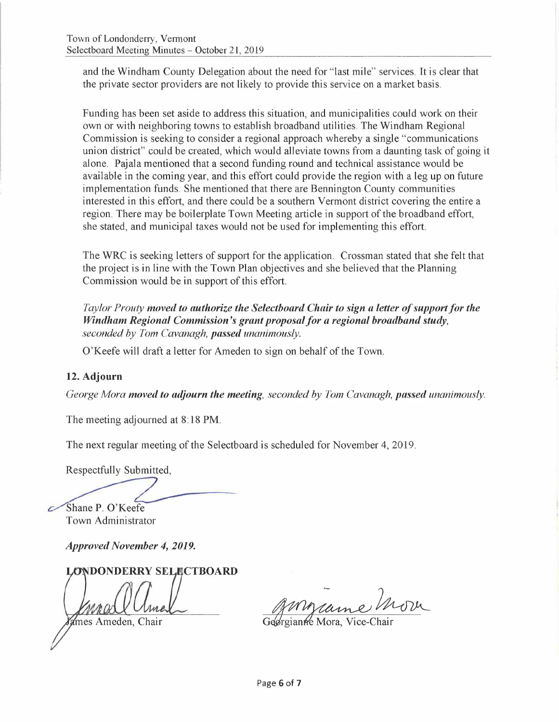and the Windham County Delegation about the need for "last mile" services. It is clear that the private sector providers are not likely to provide this service on a market basis.

Funding has been set aside to address this situation, and municipalities could work on their own or with neighboring towns to establish broadband utilities. The Windham Regional Commission is seeking to consider a regional approach whereby a single "communications union district" could be created, which would alleviate towns from a daunting task of going it alone. Pajala mentioned that a second funding round and technical assistance would be available in the coming year, and this effort could provide the region with a leg up on future implementation funds. She mentioned that there are Bennington County communities interested in this effort, and there could be a southern Vermont district covering the entire a region. There may be boilerplate Town Meeting article in support of the broadband effort, she stated, and municipal taxes would not be used for implementing this effort.

The WRC is seeking letters of support for the application. Crossman stated that she felt that the project is in line with the Town Plan objectives and she believed that the Planning Commission would be in support of this effort.

*Taylor Prouty moved to authorize the Selectboard Chair to sign a letter of support for the Windham Regional Commission's grant proposal for a regional broadband study, seconded by Tom Cavanagh, passed unanimously.* 

O'Keefe will draft a letter for Am eden to sign on behalf of the Town.

### **12. Adjourn**

*George Mora moved to adjourn the meeting, seconded by Tom Cavanagh, passed unanimously.* 

The meeting adjourned at 8:18 PM.

The next regular meeting of the Selectboard is scheduled for November 4, 2019.

Respectfully Submitted,

Shane P. O'Keefe Town Administrator

*Approved November 4, 2019.* 

# **LONDONDERRY SELECTBOARD**

ames Ameden, Chair

Mars e

Georgianne Mora, Vice-Chair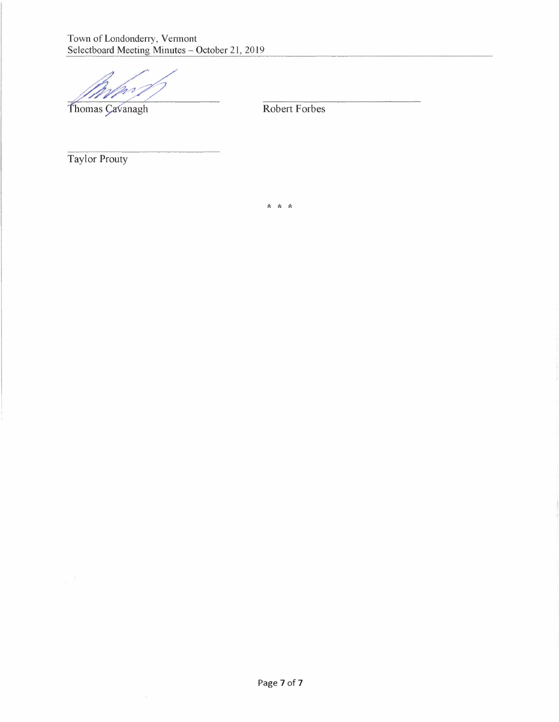Town of Londonderry, Vermont Selectboard Meeting Minutes - October 21, 2019

Thomas Cavanagh Robert Forbes

Taylor Prouty

\* \* \*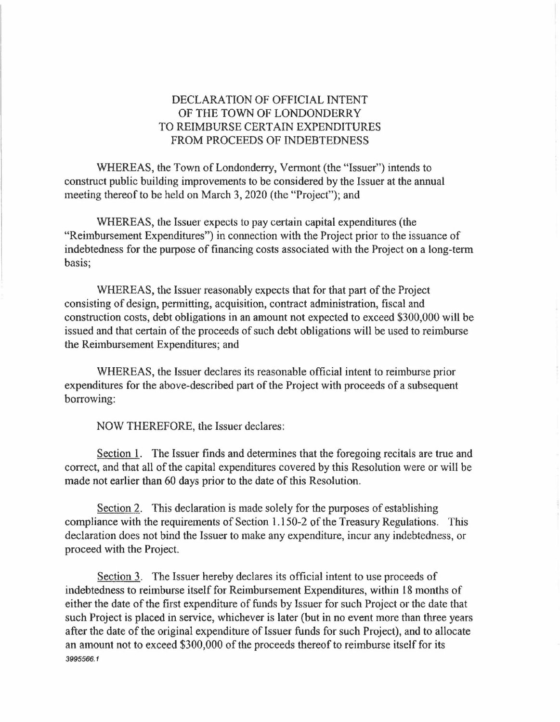## DECLARATION OF OFFICIAL INTENT OF THE TOWN OF LONDONDERRY TO REIMBURSE CERTAIN EXPENDITURES FROM PROCEEDS OF INDEBTEDNESS

WHEREAS, the Town of Londonderry, Vermont (the "Issuer") intends to construct public building improvements to be considered by the Issuer at the annual meeting thereof to be held on March 3, 2020 (the "Project"); and

WHEREAS, the Issuer expects to pay certain capital expenditures (the "Reimbursement Expenditures") in connection with the Project prior to the issuance of indebtedness for the purpose of financing costs associated with the Project on a long-term basis;

WHEREAS, the Issuer reasonably expects that for that part of the Project consisting of design, permitting, acquisition, contract administration, fiscal and construction costs, debt obligations in an amount not expected to exceed \$300,000 will be issued and that certain of the proceeds of such debt obligations will be used to reimburse the Reimbursement Expenditures; and

WHEREAS, the Issuer declares its reasonable official intent to reimburse prior expenditures for the above-described part of the Project with proceeds of a subsequent borrowing:

NOW THEREFORE, the Issuer declares:

Section 1. The Issuer finds and determines that the foregoing recitals are true and correct, and that all of the capital expenditures covered by this Resolution were or will be made not earlier than 60 days prior to the date of this Resolution.

Section 2. This declaration is made solely for the purposes of establishing compliance with the requirements of Section 1.150-2 of the Treasury Regulations. This declaration does not bind the Issuer to make any expenditure, incur any indebtedness, or proceed with the Project.

Section 3. The Issuer hereby declares its official intent to use proceeds of indebtedness to reimburse itself for Reimbursement Expenditures, within 18 months of either the date of the first expenditure of funds by Issuer for such Project or the date that such Project is placed in service, whichever is later (but in no event more than three years after the date of the original expenditure of Issuer funds for such Project), and to allocate an amount not to exceed \$300,000 of the proceeds thereof to reimburse itself for its *3995566.1*